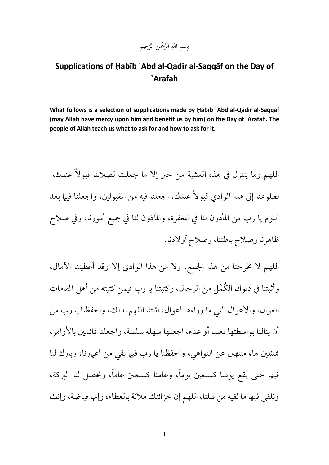## بِسْمِ اللهِ الرَّحْمَنِ الرَّحِيم ْ ب

## **Supplications of Ḥabīb `Abd al-Qadir al-Saqqāf on the Day of `Arafah**

**What follows is a selection of supplications made by Ḥabīb `Abd al-Qādir al-Saqqāf (may Allah have mercy upon him and benefit us by him) on the Day of `Arafah. The people of Allah teach us what to ask for and how to ask for it.** 

اللهم وما يتنزل يف هذه العشية من خري إال ما جعلت لصالتنا قبوالً عندك، لطلوعنا إلى هذا الوادي قبو لاً عندك، اجعلنا فيه من المقبولين، واجعلنا فيها بعد اليوم يا رب من املأذون لنا يف املغفرة، واملأذون لنا يف مجيع أمورنا، ويف صالح ظاهرنا وصالح باطننا، وصالح أوالدنا.

اللهم ال خترجنا من هذا اجلمع، وال من هذا الوادي إال وقد أعطيتنا اآلمال، وأثبتنا في ديوان الكُمَّل من الرجال، وكتبتنا يا رب فيمن كتبته من أهل المقامات العوال، واألعوال التي ما وراءها أعوال، أثبتنا اللهم بذلك، واحفظنا يا رب من أن ينالنا بواسطتها تعب أو عناء، اجعلها سهلة سلسة، واجعلنا قائمين بالأوامر ، ممتثلين لها، منتهين عن النواهي، واحفظنا يا رب فيها بقي من أعمارنا، وبارك لنا فيها حتى يقع يومنا كسبعني يومًا، وعامنا كسبعني عامًا، وحتصل لنا الربكة، ونلقى فيها ما لقيه من قبلنا، اللهم إن خزائنك ملأنة بالعطاء، وإنها فياضة، وإنك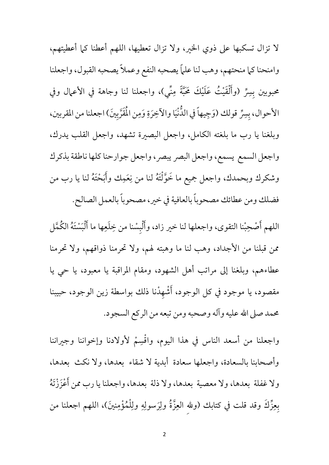لا تزال تسكبها على ذوي الخير، ولا تزال تعطيها، اللهم أعطنا كما أعطيتهم، وامنحنا كما منحتهم، وهب لنا علماً يصحبه النفع وعملاً يصحبه القبول، واجعلنا .<br>د محبوبين بِسِرِّ (وأَلْقَيْتُ عَلَيْكَ مَحَبَّةً مِنِّي)، واجعلنا لنا وجاهة في الأعمال وفي الأحوال، بِسِرٍّ قولك (وَجِيهاً في الدُّنْيَا والآخِرَةِ وَمِن الْمَقَرَّبِينَ) اجعلنا من المقربين، وبلغنا يا رب ما بلغته الكامل، واجعل البصرية تشهد، واجعل القلب يدرك، واجعل السمع يسمع، واجعل البصر يبصر، واجعل جوارحنا كلها ناطقة بذكرك وشكرك وبحمدك، واجعل جميع ما خَوَّلْتَهُ لنا من نِعَمِك وأَبَحْتَهُ لنا يا رب من ر<br>ڊ فضلك ومن عطائك مصحوبًا بالعافية يف خري،مصحوبًا بالعمل الصالح.

اللهم أَصْحِبْنا التقوى، واجعلها لنا خير زاد، وأَلْبِسْنا من خِلَعِها ما أَلْبَسْتَهُ الكُمَّل ب ممن قبلنا من الأجداد، وهب لنا ما وهبته لهم، ولا تحرمنا ذواقهم، ولا تحرمنا عطاءهم، وبلغنا إىل مراتب أهل الشهود، ومقام املراقبة يا معبود، يا حي يا مقصود، يا موجود في كل الوجود، أَشْهِدْنا ذلك بواسطة زين الوجود، حبيبنا حممد صىل اهلل عليه وآله وصحبه ومن تبعه من الركع السجود.

واجعلنا من أسعد الناس في هذا اليوم، واڤْسِمْ لأولادنا وإخواننا وجيراننا وأصحابنا بالسعادة، واجعلها سعادة أبدية ال شقاء بعدها، وال نكث بعدها، ولا غفلة بعدها، ولا معصية بعدها، ولا ذلة بعدها، واجعلنا يا رب ممن أَعْزَزْتَهُ بِعِزِّكَ وقد قلت في كتابك (ولله العِزَّةُ ولِرَسولِهِ ولِلْمُؤْمِنينَ)، اللهم اجعلنا من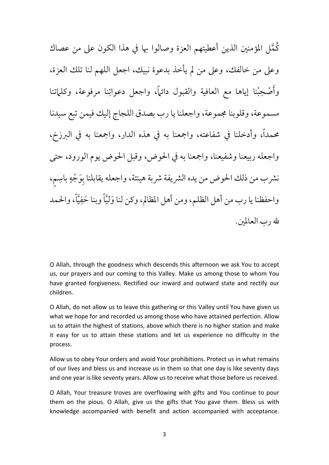كُمَّل المؤمنين الذين أعطيتهم العزة وصالوا بها في هذا الكون على من عصاك وعىل من خالفك، وعىل من مل يأخذ بدعوة نبيك، اجعل اللهم لنا تلك العزة، وأُصْحِبْنا إياها مع العافية والقبول دائماً، واجعل دعواتِنا مرفوعة، وكلماتنا مسموعة، وقلوبنا جمموعة، واجعلنا يا رب بصدق اللجاج إليك فيمن تبع سيدنا حممدًا، وأدخلنا يف شفاعته، وامجعنا به يف هذه الدار، وامجعنا به يف الربزخ، واجعله ربيعنا وشفيعنا، وامجعنا به يف احلوض، وقبل احلوض يوم الورود، حتى نشرب من ذلك الحوض من يده الشريفة شربة هينئة، واجعله يقابلنا بوَجْهٍ باسِم، واحفظنا يا رب من أهل الظلم، ومن أهل المظالم، وكن لنا وَليَّاً وبنا حَفِيَّاً، والحمد هلل رب العاملني.

O Allah, through the goodness which descends this afternoon we ask You to accept us, our prayers and our coming to this Valley. Make us among those to whom You have granted forgiveness. Rectified our inward and outward state and rectify our children.

O Allah, do not allow us to leave this gathering or this Valley until You have given us what we hope for and recorded us among those who have attained perfection. Allow us to attain the highest of stations, above which there is no higher station and make it easy for us to attain these stations and let us experience no difficulty in the process.

Allow us to obey Your orders and avoid Your prohibitions. Protect us in what remains of our lives and bless us and increase us in them so that one day is like seventy days and one year is like seventy years. Allow us to receive what those before us received.

O Allah, Your treasure troves are overflowing with gifts and You continue to pour them on the pious. O Allah, give us the gifts that You gave them. Bless us with knowledge accompanied with benefit and action accompanied with acceptance.